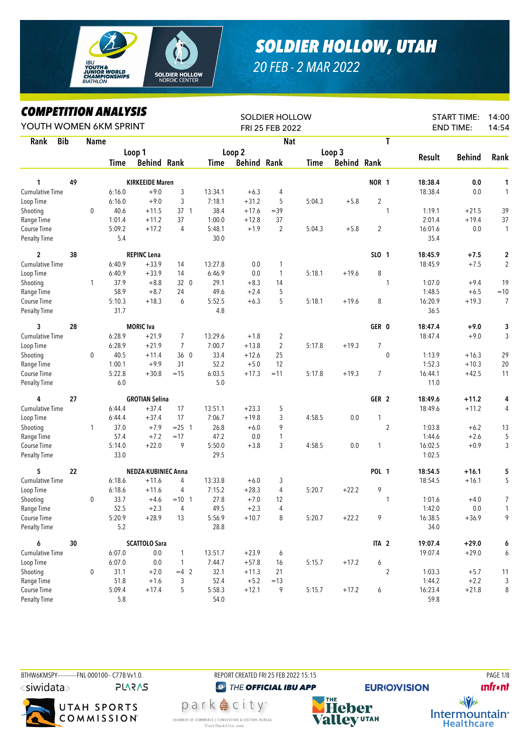

## *SOLDIER HOLLOW, UTAH*

## *20 FEB - 2 MAR 2022*

*COMPETITION ANALYSIS*

| <b><i>COMPEILION ANALYSIS</i></b><br>YOUTH WOMEN 6KM SPRINT |        |              |         |                        |                |         | <b>SOLDIER HOLLOW</b><br>FRI 25 FEB 2022 |                | <b>START TIME:</b><br><b>END TIME:</b> |                    | 14:00<br>14:54 |                |         |               |                |
|-------------------------------------------------------------|--------|--------------|---------|------------------------|----------------|---------|------------------------------------------|----------------|----------------------------------------|--------------------|----------------|----------------|---------|---------------|----------------|
| <b>Bib</b><br>Rank                                          |        | <b>Name</b>  |         |                        |                |         |                                          | <b>Nat</b>     |                                        |                    |                | T              |         |               |                |
|                                                             |        |              |         | Loop 1                 |                |         | Loop <sub>2</sub>                        |                |                                        | Loop 3             |                |                |         |               |                |
|                                                             |        |              | Time    | <b>Behind Rank</b>     |                | Time    | <b>Behind Rank</b>                       |                | Time                                   | <b>Behind Rank</b> |                |                | Result  | <b>Behind</b> | Rank           |
| 1                                                           | 49     |              |         | <b>KIRKEEIDE Maren</b> |                |         |                                          |                |                                        |                    | NOR 1          |                | 18:38.4 | 0.0           | 1              |
| <b>Cumulative Time</b>                                      |        |              | 6:16.0  | $+9.0$                 | 3              | 13:34.1 | $+6.3$                                   | 4              |                                        |                    |                |                | 18:38.4 | 0.0           | $\mathbf{1}$   |
| Loop Time                                                   |        |              | 6:16.0  | $+9.0$                 | 3              | 7:18.1  | $+31.2$                                  | 5              | 5:04.3                                 | $+5.8$             | $\overline{2}$ |                |         |               |                |
| Shooting                                                    |        | $\mathbf 0$  | 40.6    | $+11.5$                | $37-1$         | 38.4    | $+17.6$                                  | $=39$          |                                        |                    |                | $\mathbf{1}$   | 1:19.1  | $+21.5$       | 39             |
| Range Time                                                  |        |              | 1:01.4  | $+11.2$                | 37             | 1:00.0  | $+12.8$                                  | 37             |                                        |                    |                |                | 2:01.4  | $+19.4$       | 37             |
| Course Time                                                 |        |              | 5:09.2  | $+17.2$                | 4              | 5:48.1  | $+1.9$                                   | $\overline{2}$ | 5:04.3                                 | $+5.8$             | $\overline{2}$ |                | 16:01.6 | 0.0           | $\mathbf{1}$   |
| <b>Penalty Time</b>                                         |        |              | 5.4     |                        |                | 30.0    |                                          |                |                                        |                    |                |                | 35.4    |               |                |
| $\overline{c}$                                              | 38     |              |         | <b>REPINC Lena</b>     |                |         |                                          |                |                                        |                    | SLO 1          |                | 18:45.9 | $+7.5$        | $\mathbf 2$    |
| Cumulative Time                                             |        |              | 6:40.9  | $+33.9$                | 14             | 13:27.8 | 0.0                                      | 1              |                                        |                    |                |                | 18:45.9 | $+7.5$        | $\sqrt{2}$     |
| Loop Time                                                   |        |              | 6:40.9  | $+33.9$                | 14             | 6:46.9  | 0.0                                      | 1              | 5:18.1                                 | $+19.6$            | 8              |                |         |               |                |
| Shooting                                                    |        | $\mathbf{1}$ | 37.9    | $+8.8$                 | 32 0           | 29.1    | $+8.3$                                   | 14             |                                        |                    |                | $\mathbf{1}$   | 1:07.0  | $+9.4$        | 19             |
| Range Time                                                  |        |              | 58.9    | $+8.7$                 | 24             | 49.6    | $+2.4$                                   | 5              |                                        |                    |                |                | 1:48.5  | $+6.5$        | $=10$          |
| Course Time                                                 |        |              | 5:10.3  | $+18.3$                | 6              | 5:52.5  | $+6.3$                                   | 5              | 5:18.1                                 | $+19.6$            | 8              |                | 16:20.9 | $+19.3$       | $\overline{7}$ |
| Penalty Time                                                |        |              | 31.7    |                        |                | 4.8     |                                          |                |                                        |                    |                |                | 36.5    |               |                |
| 3                                                           | 28     |              |         | <b>MORIC</b> Iva       |                |         |                                          |                |                                        |                    | GER 0          |                | 18:47.4 | $+9.0$        | 3              |
| <b>Cumulative Time</b>                                      |        |              | 6:28.9  | $+21.9$                | 7              | 13:29.6 | $+1.8$                                   | 2              |                                        |                    |                |                | 18:47.4 | $+9.0$        | 3              |
| Loop Time                                                   |        |              | 6:28.9  | $+21.9$                | $\overline{7}$ | 7:00.7  | $+13.8$                                  | $\overline{2}$ | 5:17.8                                 | $+19.3$            | $\overline{7}$ |                |         |               |                |
| Shooting                                                    |        | $\pmb{0}$    | 40.5    | $+11.4$                | 360            | 33.4    | $+12.6$                                  | 25             |                                        |                    |                | $\pmb{0}$      | 1:13.9  | $+16.3$       | 29             |
| Range Time                                                  |        |              | 1:00.1  | $+9.9$                 | 31             | 52.2    | $+5.0$                                   | 12             |                                        |                    |                |                | 1:52.3  | $+10.3$       | 20             |
| Course Time                                                 |        |              | 5:22.8  | $+30.8$                | $=15$          | 6:03.5  | $+17.3$                                  | $=11$          | 5:17.8                                 | $+19.3$            | $\overline{7}$ |                | 16:44.1 | $+42.5$       | 11             |
| Penalty Time                                                |        |              | 6.0     |                        |                | 5.0     |                                          |                |                                        |                    |                |                | 11.0    |               |                |
| 4                                                           | 27     |              |         | <b>GROTIAN Selina</b>  |                |         |                                          |                |                                        |                    | GER 2          |                | 18:49.6 | $+11.2$       | 4              |
| <b>Cumulative Time</b>                                      |        |              | 6:44.4  | $+37.4$                | 17             | 13:51.1 | $+23.3$                                  | 5              |                                        |                    |                |                | 18:49.6 | $+11.2$       | 4              |
| Loop Time                                                   |        |              | 6:44.4  | $+37.4$                | 17             | 7:06.7  | $+19.8$                                  | 3              | 4:58.5                                 | 0.0                | 1              |                |         |               |                |
| Shooting                                                    |        | 1            | 37.0    | $+7.9$                 | $= 25$ 1       | 26.8    | $+6.0$                                   | 9              |                                        |                    |                | $\overline{2}$ | 1:03.8  | $+6.2$        | 13             |
| Range Time                                                  |        |              | 57.4    | $+7.2$                 | $=17$          | 47.2    | 0.0                                      | 1              |                                        |                    |                |                | 1:44.6  | $+2.6$        | 5              |
| Course Time                                                 |        |              | 5:14.0  | $+22.0$                | 9              | 5:50.0  | $+3.8$                                   | 3              | 4:58.5                                 | 0.0                | 1              |                | 16:02.5 | $+0.9$        | 3              |
| <b>Penalty Time</b>                                         |        |              | 33.0    |                        |                | 29.5    |                                          |                |                                        |                    |                |                | 1:02.5  |               |                |
| 5                                                           | 22     |              |         | NEDZA-KUBINIEC Anna    |                |         |                                          |                |                                        |                    | <b>POL 1</b>   |                | 18:54.5 | $+16.1$       | 5              |
| Cumulative Time                                             |        |              | 6:18.6  | $+11.6$                | 4              | 13:33.8 | $+6.0$                                   | 3              |                                        |                    |                |                | 18:54.5 | $+16.1$       | 5              |
| Loop Time                                                   |        |              | 6:18.6  | $+11.6$                | 4              | 7:15.2  | $+28.3$                                  | $\overline{4}$ | 5:20.7                                 | $+22.2$            | 9              |                |         |               |                |
| Shooting                                                    |        | 0            | 33.7    | $+4.6$                 | $= 10$ 1       | 27.8    | $+7.0$                                   | 12             |                                        |                    |                | $\mathbf{1}$   | 1:01.6  | $+4.0$        | 7              |
| Range Time                                                  |        |              | 52.5    | $+2.3$                 | 4              | 49.5    | $+2.3$                                   | 4              |                                        |                    |                |                | 1:42.0  | 0.0           | $\mathbf{1}$   |
| Course Time                                                 |        |              | 5:20.9  | $+28.9$                | 13             | 5:56.9  | $+10.7$                                  | 8              | 5:20.7                                 | $+22.2$            | 9              |                | 16:38.5 | $+36.9$       | 9              |
| <b>Penalty Time</b>                                         |        |              | 5.2     |                        |                | 28.8    |                                          |                |                                        |                    |                |                | 34.0    |               |                |
| 6                                                           | $30\,$ |              |         | <b>SCATTOLO Sara</b>   |                |         |                                          |                |                                        |                    | ITA 2          |                | 19:07.4 | $+29.0$       | 6              |
| <b>Cumulative Time</b>                                      |        |              | 6:07.0  | 0.0                    | 1              | 13:51.7 | $+23.9$                                  | 6              |                                        |                    |                |                | 19:07.4 | $+29.0$       | 6              |
| Loop Time                                                   |        |              | 6:07.0  | 0.0                    | $\mathbf{1}$   | 7:44.7  | $+57.8$                                  | 16             | 5:15.7                                 | $+17.2$            | 6              |                |         |               |                |
| Shooting                                                    |        | 0            | 31.1    | $+2.0$                 | $=4$ 2         | 32.1    | $+11.3$                                  | 21             |                                        |                    |                | $\overline{2}$ | 1:03.3  | $+5.7$        | 11             |
| Range Time                                                  |        |              | 51.8    | $+1.6$                 | 3              | 52.4    | $+5.2$                                   | $=13$          |                                        |                    |                |                | 1:44.2  | $+2.2$        | 3              |
| Course Time                                                 |        |              | 5:09.4  | $+17.4$                | 5              | 5:58.3  | $+12.1$                                  | 9              | 5:15.7                                 | $+17.2$            | 6              |                | 16:23.4 | $+21.8$       | 8              |
| <b>Penalty Time</b>                                         |        |              | $5.8\,$ |                        |                | 54.0    |                                          |                |                                        |                    |                |                | 59.8    |               |                |







<sup><sup>2</sup> THE OFFICIAL IBU APP</sup>

park 急 city<sup>®</sup>

CHAMBER OF COMMERCE | CONVENTION & VISITORS BUREAU

Visit Park City.com

**EURIO)VISION** 

**unfront** 

 $\sqrt{v}$ 

Intermountain<sup>®</sup>

**Healthcare** 

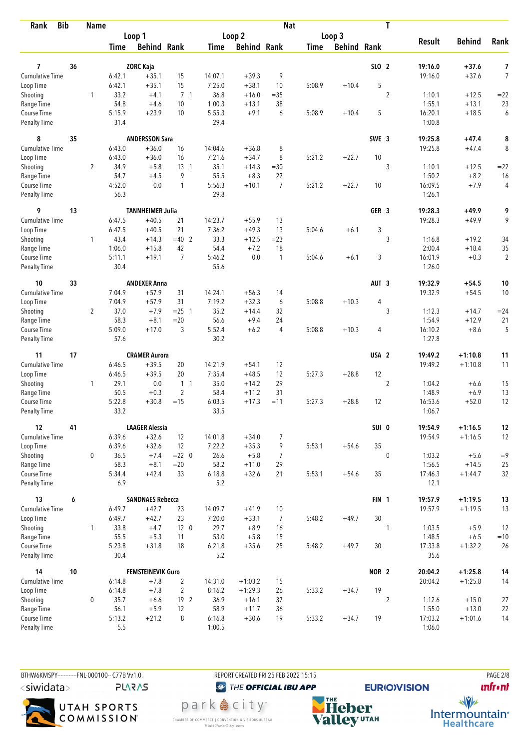| Rank                               | <b>Bib</b> | <b>Name</b>    |                |                          |                 |                |                    | <b>Nat</b>     |             |                    |                  | T              |                   |               |                |
|------------------------------------|------------|----------------|----------------|--------------------------|-----------------|----------------|--------------------|----------------|-------------|--------------------|------------------|----------------|-------------------|---------------|----------------|
|                                    |            |                |                | Loop 1                   |                 |                | Loop 2             |                |             | Loop 3             |                  |                |                   |               |                |
|                                    |            |                | Time           | <b>Behind Rank</b>       |                 | Time           | <b>Behind Rank</b> |                | <b>Time</b> | <b>Behind Rank</b> |                  |                | <b>Result</b>     | <b>Behind</b> | Rank           |
| 7                                  | 36         |                |                | <b>ZORC Kaja</b>         |                 |                |                    |                |             |                    | SLO 2            |                | 19:16.0           | $+37.6$       | 7              |
| <b>Cumulative Time</b>             |            |                | 6:42.1         | $+35.1$                  | 15              | 14:07.1        | $+39.3$            | 9              |             |                    |                  |                | 19:16.0           | $+37.6$       | $\overline{7}$ |
| Loop Time                          |            |                | 6:42.1         | $+35.1$                  | 15              | 7:25.0         | $+38.1$            | 10             | 5:08.9      | $+10.4$            | 5                |                |                   |               |                |
| Shooting                           |            | 1              | 33.2           | $+4.1$                   | 7 <sub>1</sub>  | 36.8           | $+16.0$            | $=35$          |             |                    |                  | $\overline{c}$ | 1:10.1            | $+12.5$       | $= 22$         |
| Range Time                         |            |                | 54.8           | $+4.6$                   | 10              | 1:00.3         | $+13.1$            | 38             |             |                    |                  |                | 1:55.1            | $+13.1$       | 23             |
| Course Time                        |            |                | 5:15.9         | $+23.9$                  | 10              | 5:55.3         | $+9.1$             | 6              | 5:08.9      | $+10.4$            | 5                |                | 16:20.1           | $+18.5$       | 6              |
| Penalty Time                       |            |                | 31.4           |                          |                 | 29.4           |                    |                |             |                    |                  |                | 1:00.8            |               |                |
| 8                                  | 35         |                |                | <b>ANDERSSON Sara</b>    |                 |                |                    |                |             |                    | SWE 3            |                | 19:25.8           | $+47.4$       | 8              |
| <b>Cumulative Time</b>             |            |                | 6:43.0         | $+36.0$                  | 16              | 14:04.6        | $+36.8$            | 8              |             |                    |                  |                | 19:25.8           | $+47.4$       | 8              |
| Loop Time                          |            |                | 6:43.0         | $+36.0$                  | 16              | 7:21.6         | $+34.7$            | 8              | 5:21.2      | $+22.7$            | 10               |                |                   |               |                |
| Shooting                           |            | $\overline{2}$ | 34.9           | $+5.8$                   | $13-1$          | 35.1           | $+14.3$            | $=30$          |             |                    |                  | 3              | 1:10.1            | $+12.5$       | $=22$          |
| Range Time                         |            |                | 54.7           | $+4.5$                   | 9               | 55.5           | $+8.3$             | 22             |             |                    |                  |                | 1:50.2            | $+8.2$        | 16             |
| Course Time                        |            |                | 4:52.0         | 0.0                      | $\mathbf{1}$    | 5:56.3         | $+10.1$            | $\overline{7}$ | 5:21.2      | $+22.7$            | 10               |                | 16:09.5           | $+7.9$        | 4              |
| Penalty Time                       |            |                | 56.3           |                          |                 | 29.8           |                    |                |             |                    |                  |                | 1:26.1            |               |                |
| 9                                  | 13         |                |                | <b>TANNHEIMER Julia</b>  |                 |                |                    |                |             |                    | GER <sub>3</sub> |                | 19:28.3           | $+49.9$       | 9              |
| <b>Cumulative Time</b>             |            |                | 6:47.5         | $+40.5$                  | 21              | 14:23.7        | $+55.9$            | 13             |             |                    |                  |                | 19:28.3           | $+49.9$       | 9              |
| Loop Time                          |            |                | 6:47.5         | $+40.5$                  | 21              | 7:36.2         | $+49.3$            | 13             | 5:04.6      | $+6.1$             | 3                |                |                   |               |                |
| Shooting                           |            | $\mathbf{1}$   | 43.4           | $+14.3$                  | $=40$ 2         | 33.3           | $+12.5$            | $= 23$         |             |                    |                  | 3              | 1:16.8            | $+19.2$       | 34             |
| Range Time                         |            |                | 1:06.0         | $+15.8$                  | 42              | 54.4           | $+7.2$             | 18             |             |                    |                  |                | 2:00.4            | $+18.4$       | 35             |
| Course Time                        |            |                | 5:11.1         | $+19.1$                  | $\overline{7}$  | 5:46.2         | 0.0                | $\mathbf{1}$   | 5:04.6      | $+6.1$             | 3                |                | 16:01.9           | $+0.3$        | $\overline{2}$ |
| <b>Penalty Time</b>                |            |                | 30.4           |                          |                 | 55.6           |                    |                |             |                    |                  |                | 1:26.0            |               |                |
| 10                                 | 33         |                |                | <b>ANDEXER Anna</b>      |                 |                |                    |                |             |                    | AUT <sub>3</sub> |                | 19:32.9           | $+54.5$       | 10             |
| <b>Cumulative Time</b>             |            |                | 7:04.9         | $+57.9$                  | 31              | 14:24.1        | $+56.3$            | 14             |             |                    |                  |                | 19:32.9           | $+54.5$       | 10             |
| Loop Time                          |            |                | 7:04.9         | $+57.9$                  | 31              | 7:19.2         | $+32.3$            | 6              | 5:08.8      | $+10.3$            | 4                |                |                   |               |                |
| Shooting                           |            | $\overline{2}$ | 37.0           | $+7.9$                   | $= 25$ 1        | 35.2           | $+14.4$            | 32             |             |                    |                  | 3              | 1:12.3            | $+14.7$       | $= 24$         |
| Range Time                         |            |                | 58.3           | $+8.1$                   | $=20$           | 56.6           | $+9.4$             | 24             |             |                    |                  |                | 1:54.9            | $+12.9$       | 21             |
| Course Time<br><b>Penalty Time</b> |            |                | 5:09.0<br>57.6 | $+17.0$                  | 3               | 5:52.4<br>30.2 | $+6.2$             | 4              | 5:08.8      | $+10.3$            | 4                |                | 16:10.2<br>1:27.8 | $+8.6$        | 5              |
|                                    |            |                |                |                          |                 |                |                    |                |             |                    |                  |                |                   |               |                |
| 11                                 | 17         |                |                | <b>CRAMER Aurora</b>     |                 |                |                    |                |             |                    | USA <sub>2</sub> |                | 19:49.2           | $+1:10.8$     | 11             |
| <b>Cumulative Time</b>             |            |                | 6:46.5         | $+39.5$                  | 20              | 14:21.9        | $+54.1$            | 12             |             |                    |                  |                | 19:49.2           | $+1:10.8$     | 11             |
| Loop Time                          |            |                | 6:46.5         | $+39.5$                  | 20              | 7:35.4         | $+48.5$            | 12             | 5:27.3      | $+28.8$            | 12               |                |                   |               |                |
| Shooting                           |            | $\mathbf{1}$   | 29.1           | 0.0                      | 1 <sub>1</sub>  | 35.0           | $+14.2$            | 29             |             |                    |                  | $\overline{2}$ | 1:04.2            | $+6.6$        | 15             |
| Range Time                         |            |                | 50.5           | $+0.3$                   | $\overline{2}$  | 58.4           | $+11.2$            | 31             |             |                    |                  |                | 1:48.9            | $+6.9$        | 13             |
| Course Time<br><b>Penalty Time</b> |            |                | 5:22.8<br>33.2 | $+30.8$                  | $=15$           | 6:03.5<br>33.5 | $+17.3$            | $=11$          | 5:27.3      | $+28.8$            | 12               |                | 16:53.6<br>1:06.7 | $+52.0$       | 12             |
| 12                                 | 41         |                |                | <b>LAAGER Alessia</b>    |                 |                |                    |                |             |                    | SUI 0            |                | 19:54.9           | $+1:16.5$     | 12             |
| Cumulative Time                    |            |                | 6:39.6         | $+32.6$                  | 12              | 14:01.8        | $+34.0$            | $\overline{7}$ |             |                    |                  |                | 19:54.9           | $+1:16.5$     | 12             |
| Loop Time                          |            |                | 6:39.6         | $+32.6$                  | 12              | 7:22.2         | $+35.3$            | 9              | 5:53.1      | $+54.6$            | 35               |                |                   |               |                |
| Shooting                           |            | $\mathbf{0}$   | 36.5           | $+7.4$                   | $= 22 \ 0$      | 26.6           | $+5.8$             | $\overline{7}$ |             |                    |                  | $\mathbf{0}$   | 1:03.2            | $+5.6$        | $=9$           |
| Range Time                         |            |                | 58.3           | $+8.1$                   | $= 20$          | 58.2           | $+11.0$            | 29             |             |                    |                  |                | 1:56.5            | $+14.5$       | 25             |
| Course Time                        |            |                | 5:34.4         | $+42.4$                  | 33              | 6:18.8         | $+32.6$            | 21             | 5:53.1      | $+54.6$            | 35               |                | 17:46.3           | $+1:44.7$     | 32             |
| Penalty Time                       |            |                | 6.9            |                          |                 | 5.2            |                    |                |             |                    |                  |                | 12.1              |               |                |
| 13                                 | 6          |                |                | <b>SANDNAES Rebecca</b>  |                 |                |                    |                |             |                    | FIN <sub>1</sub> |                | 19:57.9           | $+1:19.5$     | 13             |
| Cumulative Time                    |            |                | 6:49.7         | $+42.7$                  | 23              | 14:09.7        | $+41.9$            | 10             |             |                    |                  |                | 19:57.9           | $+1:19.5$     | 13             |
| Loop Time                          |            |                | 6:49.7         | $+42.7$                  | 23              | 7:20.0         | $+33.1$            | 7              | 5:48.2      | $+49.7$            | 30               |                |                   |               |                |
| Shooting                           |            | $\mathbf{1}$   | 33.8           | $+4.7$                   | 12 <sub>0</sub> | 29.7           | $+8.9$             | 16             |             |                    |                  | $\mathbf{1}$   | 1:03.5            | $+5.9$        | 12             |
| Range Time                         |            |                | 55.5           | $+5.3$                   | 11              | 53.0           | $+5.8$             | 15             |             |                    |                  |                | 1:48.5            | $+6.5$        | $=10$          |
| Course Time                        |            |                | 5:23.8         | $+31.8$                  | 18              | 6:21.8         | $+35.6$            | 25             | 5:48.2      | $+49.7$            | 30               |                | 17:33.8           | $+1:32.2$     | 26             |
| Penalty Time                       |            |                | 30.4           |                          |                 | 5.2            |                    |                |             |                    |                  |                | 35.6              |               |                |
| 14                                 | 10         |                |                | <b>FEMSTEINEVIK Guro</b> |                 |                |                    |                |             |                    | NOR <sub>2</sub> |                | 20:04.2           | $+1:25.8$     | 14             |
| Cumulative Time                    |            |                | 6:14.8         | $+7.8$                   | $\overline{2}$  | 14:31.0        | $+1:03.2$          | 15             |             |                    |                  |                | 20:04.2           | $+1:25.8$     | 14             |
| Loop Time                          |            |                | 6:14.8         | $+7.8$                   | $\overline{2}$  | 8:16.2         | $+1:29.3$          | 26             | 5:33.2      | $+34.7$            | 19               |                |                   |               |                |
| Shooting                           |            | $\mathbf 0$    | 35.7           | $+6.6$                   | 19 2            | 36.9           | $+16.1$            | 37             |             |                    |                  | $\overline{2}$ | 1:12.6            | $+15.0$       | 27             |
| Range Time                         |            |                | 56.1           | $+5.9$                   | 12              | 58.9           | $+11.7$            | 36             |             |                    |                  |                | 1:55.0            | $+13.0$       | 22             |
| Course Time                        |            |                | 5:13.2         | $+21.2$                  | 8               | 6:16.8         | $+30.6$            | 19             | 5:33.2      | $+34.7$            | 19               |                | 17:03.2           | $+1:01.6$     | 14             |
| Penalty Time                       |            |                | 5.5            |                          |                 | 1:00.5         |                    |                |             |                    |                  |                | 1:06.0            |               |                |

BTHW6KMSPY------------FNL-000100-- C77B Vv1.0. <siwidata> **PLARAS** 

UTAH SPORTS<br>COMMISSION

REPORT CREATED FRI 25 FEB 2022 15:15 <sup><sup>3</sup>THE OFFICIAL IBU APP</sup> park e city<sup>®</sup>

CHAMBER OF COMMERCE | CONVENTION & VISITORS BUREAU<br>Visit Park City.com

**EURIO)VISION NHE**<br>Valley<sup>utAH</sup>

**PAGE 2/8 unfront** 

 $\frac{1}{\sqrt{2}}$ Intermountain<sup>®</sup><br>Healthcare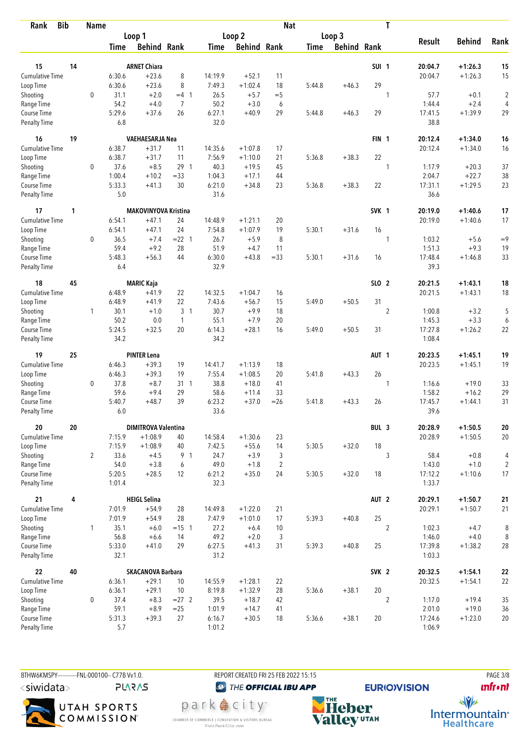| <b>Bib</b><br>Rank          |    | <b>Name</b>    |                  |                             |                |                |                    | <b>Nat</b>         |             |                    |                  | T              |                   |                  |                         |
|-----------------------------|----|----------------|------------------|-----------------------------|----------------|----------------|--------------------|--------------------|-------------|--------------------|------------------|----------------|-------------------|------------------|-------------------------|
|                             |    |                |                  | Loop 1                      |                |                | Loop 2             |                    |             | Loop 3             |                  |                |                   |                  |                         |
|                             |    |                | <b>Time</b>      | <b>Behind Rank</b>          |                | <b>Time</b>    | <b>Behind Rank</b> |                    | <b>Time</b> | <b>Behind Rank</b> |                  |                | <b>Result</b>     | <b>Behind</b>    | Rank                    |
|                             |    |                |                  |                             |                |                |                    |                    |             |                    |                  |                |                   |                  |                         |
| 15                          | 14 |                |                  | <b>ARNET Chiara</b>         |                |                |                    |                    |             |                    | <b>SUI 1</b>     |                | 20:04.7           | +1:26.3          | 15                      |
| Cumulative Time             |    |                | 6:30.6           | $+23.6$                     | 8              | 14:19.9        | $+52.1$            | 11                 |             |                    |                  |                | 20:04.7           | $+1:26.3$        | 15                      |
| Loop Time                   |    |                | 6:30.6           | $+23.6$                     | 8              | 7:49.3         | $+1:02.4$          | 18                 | 5:44.8      | $+46.3$            | 29               |                |                   |                  |                         |
| Shooting                    |    | $\mathbf 0$    | 31.1             | $+2.0$                      | $=4$ 1         | 26.5           | $+5.7$             | $=$ 5              |             |                    |                  | 1              | 57.7              | $+0.1$           | $\overline{\mathbf{c}}$ |
| Range Time                  |    |                | 54.2             | $+4.0$                      | $\overline{7}$ | 50.2           | $+3.0$             | 6                  |             |                    |                  |                | 1:44.4            | $+2.4$           | $\overline{4}$          |
| Course Time<br>Penalty Time |    |                | 5:29.6<br>6.8    | $+37.6$                     | 26             | 6:27.1<br>32.0 | $+40.9$            | 29                 | 5:44.8      | $+46.3$            | 29               |                | 17:41.5<br>38.8   | $+1:39.9$        | 29                      |
| 16                          | 19 |                |                  | <b>VAEHAESARJA Nea</b>      |                |                |                    |                    |             |                    | <b>FIN 1</b>     |                | 20:12.4           | $+1:34.0$        | 16                      |
| <b>Cumulative Time</b>      |    |                | 6:38.7           | $+31.7$                     | 11             | 14:35.6        | $+1:07.8$          | 17                 |             |                    |                  |                | 20:12.4           | $+1:34.0$        | 16                      |
| Loop Time                   |    |                | 6:38.7           | $+31.7$                     | 11             | 7:56.9         | $+1:10.0$          | 21                 | 5:36.8      | $+38.3$            | 22               |                |                   |                  |                         |
| Shooting                    |    | 0              | 37.6             | $+8.5$                      | 29 1           | 40.3           | $+19.5$            | 45                 |             |                    |                  | 1              | 1:17.9            | $+20.3$          | 37                      |
| Range Time                  |    |                | 1:00.4           | $+10.2$                     | $= 33$         | 1:04.3         | $+17.1$            | 44                 |             |                    |                  |                | 2:04.7            | $+22.7$          | 38                      |
| Course Time                 |    |                | 5:33.3           | $+41.3$                     | 30             | 6:21.0         | $+34.8$            | 23                 | 5:36.8      | $+38.3$            | 22               |                | 17:31.1           | $+1:29.5$        | 23                      |
| Penalty Time                |    |                | 5.0              |                             |                | 31.6           |                    |                    |             |                    |                  |                | 36.6              |                  |                         |
| 17                          | 1  |                |                  | <b>MAKOVINYOVA Kristina</b> |                |                |                    |                    |             |                    | SVK 1            |                | 20:19.0           | +1:40.6          | 17                      |
| Cumulative Time             |    |                | 6:54.1           | $+47.1$                     | 24             | 14:48.9        | $+1:21.1$          | 20                 |             |                    |                  |                | 20:19.0           | $+1:40.6$        | 17                      |
| Loop Time                   |    |                | 6:54.1           | $+47.1$                     | 24             | 7:54.8         | $+1:07.9$          | 19                 | 5:30.1      | $+31.6$            | 16               |                |                   |                  |                         |
| Shooting                    |    | $\mathbf 0$    | 36.5             | $+7.4$                      | $= 22$ 1       | 26.7           | $+5.9$             | 8                  |             |                    |                  | $\mathbf{1}$   | 1:03.2            | $+5.6$           | $=9$                    |
| Range Time                  |    |                | 59.4             | $+9.2$                      | 28             | 51.9           | $+4.7$             | 11                 |             |                    |                  |                | 1:51.3            | $+9.3$           | 19                      |
| Course Time                 |    |                | 5:48.3           | $+56.3$                     | 44             | 6:30.0         | $+43.8$            | $= 33$             | 5:30.1      | $+31.6$            | 16               |                | 17:48.4           | $+1:46.8$        | 33                      |
| <b>Penalty Time</b>         |    |                | 6.4              |                             |                | 32.9           |                    |                    |             |                    |                  |                | 39.3              |                  |                         |
| 18                          | 45 |                |                  | <b>MARIC Kaja</b>           |                |                |                    |                    |             |                    | SLO 2            |                | 20:21.5           | +1:43.1          | 18                      |
| <b>Cumulative Time</b>      |    |                | 6:48.9           | $+41.9$                     | 22             | 14:32.5        | $+1:04.7$          | 16                 |             |                    |                  |                | 20:21.5           | $+1:43.1$        | 18                      |
| Loop Time                   |    |                | 6:48.9           | $+41.9$                     | 22             | 7:43.6         | $+56.7$            | 15                 | 5:49.0      | $+50.5$            | 31               |                |                   |                  |                         |
| Shooting                    |    | $\mathbf{1}$   | 30.1             | $+1.0$                      | 3 <sub>1</sub> | 30.7           | $+9.9$             | 18                 |             |                    |                  | $\overline{2}$ | 1:00.8            | $+3.2$           | 5                       |
| Range Time                  |    |                | 50.2             | 0.0                         | $\mathbf{1}$   | 55.1           | $+7.9$             | 20                 |             |                    |                  |                | 1:45.3            | $+3.3$           | 6                       |
| Course Time                 |    |                | 5:24.5           | $+32.5$                     | 20             | 6:14.3         | $+28.1$            | 16                 | 5:49.0      | $+50.5$            | 31               |                | 17:27.8           | $+1:26.2$        | 22                      |
| <b>Penalty Time</b>         |    |                | 34.2             |                             |                | 34.2           |                    |                    |             |                    |                  |                | 1:08.4            |                  |                         |
| 19                          | 25 |                |                  | <b>PINTER Lena</b>          |                |                |                    |                    |             |                    | AUT <sub>1</sub> |                | 20:23.5           | +1:45.1          | 19                      |
| Cumulative Time             |    |                | 6:46.3           | $+39.3$                     | 19             | 14:41.7        | $+1:13.9$          | 18                 |             |                    |                  |                | 20:23.5           | $+1:45.1$        | 19                      |
| Loop Time                   |    |                | 6:46.3           | $+39.3$                     | 19             | 7:55.4         | $+1:08.5$          | 20                 | 5:41.8      | $+43.3$            | 26               |                |                   |                  |                         |
| Shooting                    |    | $\mathbf 0$    | 37.8             | $+8.7$                      | 31 1           | 38.8           | $+18.0$            | 41                 |             |                    |                  | $\mathbf{1}$   | 1:16.6            | $+19.0$          | 33                      |
| Range Time                  |    |                | 59.6             | $+9.4$                      | 29             | 58.6           | $+11.4$            | 33                 |             |                    |                  |                | 1:58.2            | $+16.2$          | 29                      |
| Course Time                 |    |                | 5:40.7           | $+48.7$                     | 39             | 6:23.2         | $+37.0$            | $=26$              | 5:41.8      | $+43.3$            | 26               |                | 17:45.7           | $+1:44.1$        | 31                      |
| <b>Penalty Time</b>         |    |                | 6.0              |                             |                | 33.6           |                    |                    |             |                    |                  |                | 39.6              |                  |                         |
| 20                          | 20 |                |                  | <b>DIMITROVA Valentina</b>  |                |                |                    |                    |             |                    | BUL 3            |                | 20:28.9           | $+1:50.5$        | ${\bf 20}$              |
| <b>Cumulative Time</b>      |    |                | 7:15.9           | $+1:08.9$                   | 40             | 14:58.4        | $+1:30.6$          | 23                 |             |                    |                  |                | 20:28.9           | $+1:50.5$        | 20                      |
| Loop Time                   |    |                | 7:15.9           | $+1:08.9$                   | 40             | 7:42.5         | $+55.6$            | 14                 | 5:30.5      | $+32.0$            | 18               |                |                   |                  |                         |
| Shooting                    |    | $\overline{2}$ | 33.6             | $+4.5$                      | 9 1            | 24.7           | $+3.9$             | 3                  |             |                    |                  | 3              | 58.4              | $+0.8$           | $\overline{4}$          |
| Range Time                  |    |                | 54.0             | $+3.8$                      | 6              | 49.0           | $+1.8$             | $\overline{2}$     |             |                    |                  |                | 1:43.0            | $+1.0$           | $\overline{c}$          |
| Course Time<br>Penalty Time |    |                | 5:20.5<br>1:01.4 | $+28.5$                     | 12             | 6:21.2<br>32.3 | $+35.0$            | 24                 | 5:30.5      | $+32.0$            | 18               |                | 17:12.2<br>1:33.7 | $+1:10.6$        | 17                      |
| 21                          | 4  |                |                  | <b>HEIGL Selina</b>         |                |                |                    |                    |             |                    | AUT <sub>2</sub> |                | 20:29.1           | $+1:50.7$        | 21                      |
| <b>Cumulative Time</b>      |    |                | 7:01.9           | $+54.9$                     | 28             | 14:49.8        | $+1:22.0$          | 21                 |             |                    |                  |                | 20:29.1           | $+1:50.7$        | 21                      |
|                             |    |                | 7:01.9           | $+54.9$                     | 28             | 7:47.9         | $+1:01.0$          | 17                 | 5:39.3      | $+40.8$            | 25               |                |                   |                  |                         |
| Loop Time                   |    |                |                  |                             |                |                |                    |                    |             |                    |                  |                |                   |                  |                         |
| Shooting<br>Range Time      |    | $\mathbf{1}$   | 35.1<br>56.8     | $+6.0$<br>$+6.6$            | $= 15$ 1<br>14 | 27.2<br>49.2   | $+6.4$<br>$+2.0$   | 10<br>$\mathbf{3}$ |             |                    |                  | $\overline{2}$ | 1:02.3<br>1:46.0  | $+4.7$<br>$+4.0$ | 8<br>8                  |
| Course Time                 |    |                | 5:33.0           | $+41.0$                     | 29             | 6:27.5         | $+41.3$            | 31                 | 5:39.3      | $+40.8$            | 25               |                | 17:39.8           | $+1:38.2$        | $28\,$                  |
| <b>Penalty Time</b>         |    |                | 32.1             |                             |                | 31.2           |                    |                    |             |                    |                  |                | 1:03.3            |                  |                         |
| 22                          | 40 |                |                  | <b>SKACANOVA Barbara</b>    |                |                |                    |                    |             |                    | SVK <sub>2</sub> |                | 20:32.5           | $+1:54.1$        | 22                      |
| Cumulative Time             |    |                | 6:36.1           | $+29.1$                     | 10             | 14:55.9        | $+1:28.1$          | 22                 |             |                    |                  |                | 20:32.5           | $+1:54.1$        | 22                      |
| Loop Time                   |    |                | 6:36.1           | $+29.1$                     | 10             | 8:19.8         | $+1:32.9$          | 28                 | 5:36.6      | $+38.1$            | 20               |                |                   |                  |                         |
| Shooting                    |    | 0              | 37.4             | $+8.3$                      | $= 27$ 2       | 39.5           | $+18.7$            | 42                 |             |                    |                  | $\overline{2}$ | 1:17.0            | $+19.4$          | 35                      |
| Range Time                  |    |                | 59.1             | $+8.9$                      | $=25$          | 1:01.9         | $+14.7$            | 41                 |             |                    |                  |                | 2:01.0            | $+19.0$          | 36                      |
| Course Time                 |    |                | 5:31.3           | $+39.3$                     | 27             | 6:16.7         | $+30.5$            | 18                 | 5:36.6      | $+38.1$            | 20               |                | 17:24.6           | $+1:23.0$        | 20                      |
| Penalty Time                |    |                | 5.7              |                             |                | 1:01.2         |                    |                    |             |                    |                  |                | 1:06.9            |                  |                         |

BTHW6KMSPY------------FNL-000100-- C77B Vv1.0. <siwidata> **PLARAS** 

UTAH SPORTS<br>COMMISSION

<sup><sup>3</sup>THE OFFICIAL IBU APP</sup> park e city<sup>®</sup>

CHAMBER OF COMMERCE | CONVENTION & VISITORS BUREAU<br>Visit Park City.com

REPORT CREATED FRI 25 FEB 2022 15:15

**NHE**<br>Valley<sup>utAH</sup>

**EURIO)VISION** 

**PAGE 3/8 unfront** 

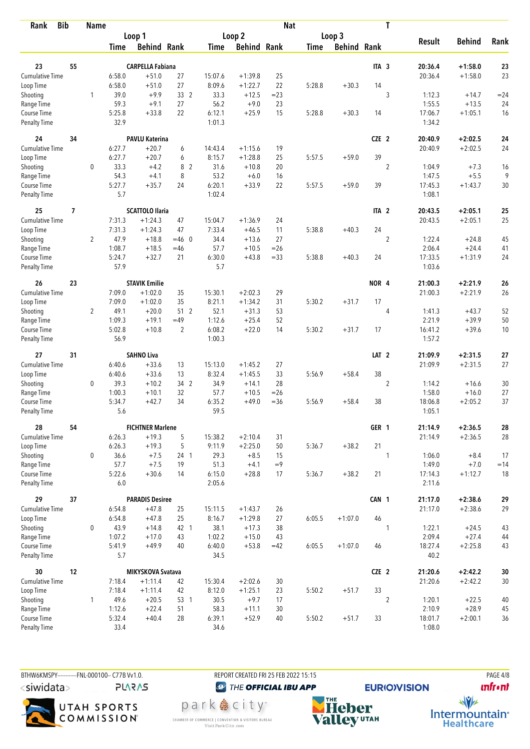| <b>Bib</b><br>Rank                 |    | <b>Name</b>    |                |                                |                 |                  |                    | <b>Nat</b> |             |                    |                  | T              |                    |                        |                  |
|------------------------------------|----|----------------|----------------|--------------------------------|-----------------|------------------|--------------------|------------|-------------|--------------------|------------------|----------------|--------------------|------------------------|------------------|
|                                    |    |                |                | Loop 1                         |                 |                  | Loop <sub>2</sub>  |            |             | Loop 3             |                  |                |                    |                        |                  |
|                                    |    |                | <b>Time</b>    | <b>Behind Rank</b>             |                 | Time             | <b>Behind Rank</b> |            | <b>Time</b> | <b>Behind Rank</b> |                  |                | <b>Result</b>      | <b>Behind</b>          | Rank             |
|                                    |    |                |                |                                |                 |                  |                    |            |             |                    |                  |                |                    |                        |                  |
| 23                                 | 55 |                |                | <b>CARPELLA Fabiana</b>        |                 |                  |                    |            |             |                    | ITA <sub>3</sub> |                | 20:36.4            | $+1:58.0$              | 23               |
| Cumulative Time                    |    |                | 6:58.0         | $+51.0$                        | 27              | 15:07.6          | $+1:39.8$          | 25         |             |                    |                  |                | 20:36.4            | $+1:58.0$              | 23               |
| Loop Time                          |    |                | 6:58.0         | $+51.0$                        | 27              | 8:09.6           | $+1:22.7$          | 22         | 5:28.8      | $+30.3$            | 14               |                |                    |                        |                  |
| Shooting                           |    | 1              | 39.0           | $+9.9$                         | 33 2            | 33.3             | $+12.5$            | $=23$      |             |                    |                  | 3              | 1:12.3             | $+14.7$                | $= 24$           |
| Range Time                         |    |                | 59.3           | $+9.1$                         | 27              | 56.2             | $+9.0$             | 23         |             |                    |                  |                | 1:55.5             | $+13.5$                | 24               |
| Course Time<br><b>Penalty Time</b> |    |                | 5:25.8<br>32.9 | $+33.8$                        | 22              | 6:12.1<br>1:01.3 | $+25.9$            | 15         | 5:28.8      | $+30.3$            | 14               |                | 17:06.7<br>1:34.2  | $+1:05.1$              | 16               |
| 24                                 | 34 |                |                | <b>PAVLU Katerina</b>          |                 |                  |                    |            |             |                    | CZE 2            |                | 20:40.9            | $+2:02.5$              | 24               |
| Cumulative Time                    |    |                | 6:27.7         | $+20.7$                        | 6               | 14:43.4          | $+1:15.6$          | 19         |             |                    |                  |                | 20:40.9            | $+2:02.5$              | 24               |
| Loop Time                          |    |                | 6:27.7         | $+20.7$                        | 6               | 8:15.7           | $+1:28.8$          | 25         | 5:57.5      | $+59.0$            | 39               |                |                    |                        |                  |
| Shooting                           |    | 0              | 33.3           | $+4.2$                         | 8 2             | 31.6             | $+10.8$            | 20         |             |                    |                  | $\overline{2}$ | 1:04.9             | $+7.3$                 | 16               |
| Range Time                         |    |                | 54.3           | $+4.1$                         | 8               | 53.2             | $+6.0$             | 16         |             |                    |                  |                | 1:47.5             | $+5.5$                 | 9                |
| Course Time                        |    |                | 5:27.7         | $+35.7$                        | 24              | 6:20.1           | $+33.9$            | 22         | 5:57.5      | $+59.0$            | 39               |                | 17:45.3            | $+1:43.7$              | 30               |
| <b>Penalty Time</b>                |    |                | 5.7            |                                |                 | 1:02.4           |                    |            |             |                    |                  |                | 1:08.1             |                        |                  |
| 25                                 | 7  |                |                | <b>SCATTOLO Ilaria</b>         |                 |                  |                    |            |             |                    | ITA <sub>2</sub> |                | 20:43.5            | $+2:05.1$              | 25               |
| <b>Cumulative Time</b>             |    |                | 7:31.3         | $+1:24.3$                      | 47              | 15:04.7          | $+1:36.9$          | 24         |             |                    |                  |                | 20:43.5            | $+2:05.1$              | 25               |
| Loop Time                          |    |                | 7:31.3         | $+1:24.3$                      | 47              | 7:33.4           | $+46.5$            | 11         | 5:38.8      | $+40.3$            | 24               |                |                    |                        |                  |
| Shooting                           |    | $\overline{2}$ | 47.9           | $+18.8$                        | $=46$ 0         | 34.4             | $+13.6$            | 27         |             |                    |                  | $\overline{c}$ | 1:22.4             | $+24.8$                | 45               |
| Range Time                         |    |                | 1:08.7         | $+18.5$                        | $=46$           | 57.7             | $+10.5$            | $=26$      |             |                    |                  |                | 2:06.4             | $+24.4$                | 41               |
| Course Time                        |    |                | 5:24.7         | $+32.7$                        | 21              | 6:30.0           | $+43.8$            | $= 33$     | 5:38.8      | $+40.3$            | 24               |                | 17:33.5            | $+1:31.9$              | 24               |
| <b>Penalty Time</b>                |    |                | 57.9           |                                |                 | 5.7              |                    |            |             |                    |                  |                | 1:03.6             |                        |                  |
| 26                                 | 23 |                |                | <b>STAVIK Emilie</b>           |                 |                  |                    |            |             |                    | NOR 4            |                | 21:00.3            | $+2:21.9$              | 26               |
| Cumulative Time                    |    |                | 7:09.0         | $+1:02.0$                      | 35              | 15:30.1          | $+2:02.3$          | 29         |             |                    |                  |                | 21:00.3            | $+2:21.9$              | 26               |
| Loop Time                          |    |                | 7:09.0         | $+1:02.0$                      | 35              | 8:21.1           | $+1:34.2$          | 31         | 5:30.2      | $+31.7$            | 17               |                |                    |                        |                  |
| Shooting                           |    | $\overline{2}$ | 49.1           | $+20.0$                        | 51 <sub>2</sub> | 52.1             | $+31.3$            | 53         |             |                    |                  | 4              | 1:41.3             | $+43.7$                | 52               |
| Range Time                         |    |                | 1:09.3         | $+19.1$                        | $=49$           | 1:12.6           | $+25.4$            | 52         |             |                    |                  |                | 2:21.9             | $+39.9$                | 50               |
| Course Time                        |    |                | 5:02.8         | $+10.8$                        | $\overline{2}$  | 6:08.2           | $+22.0$            | 14         | 5:30.2      | $+31.7$            | 17               |                | 16:41.2            | $+39.6$                | 10               |
| <b>Penalty Time</b>                |    |                | 56.9           |                                |                 | 1:00.3           |                    |            |             |                    |                  |                | 1:57.2             |                        |                  |
| 27                                 | 31 |                |                | <b>SAHNO Liva</b>              |                 |                  |                    |            |             |                    | LAT <sub>2</sub> |                | 21:09.9            | $+2:31.5$              | 27               |
| <b>Cumulative Time</b>             |    |                | 6:40.6         | $+33.6$                        | 13              | 15:13.0          | $+1:45.2$          | 27         |             |                    |                  |                | 21:09.9            | $+2:31.5$              | 27               |
| Loop Time                          |    |                | 6:40.6         | $+33.6$                        | 13              | 8:32.4           | $+1:45.5$          | 33         | 5:56.9      | $+58.4$            | 38               |                |                    |                        |                  |
| Shooting                           |    | $\mathbf 0$    | 39.3           | $+10.2$                        | 34 2            | 34.9             | $+14.1$            | 28         |             |                    |                  | $\overline{2}$ | 1:14.2             | $+16.6$                | 30               |
| Range Time                         |    |                | 1:00.3         | $+10.1$                        | 32              | 57.7             | $+10.5$            | $=26$      |             |                    |                  |                | 1:58.0             | $+16.0$                | 27               |
| Course Time                        |    |                | 5:34.7         | $+42.7$                        | 34              | 6:35.2           | $+49.0$            | $= 36$     | 5:56.9      | $+58.4$            | 38               |                | 18:06.8            | $+2:05.2$              | 37               |
| <b>Penalty Time</b>                |    |                | 5.6            |                                |                 | 59.5             |                    |            |             |                    |                  |                | 1:05.1             |                        |                  |
| 28                                 | 54 |                |                | <b>FICHTNER Marlene</b>        |                 |                  |                    |            |             |                    | GER 1            |                | 21:14.9            | $+2:36.5$              | 28               |
| <b>Cumulative Time</b>             |    |                | 6:26.3         | $+19.3$                        | 5               | 15:38.2          | $+2:10.4$          | 31         |             |                    |                  |                | 21:14.9            | $+2:36.5$              | 28               |
| Loop Time                          |    |                | 6:26.3         | $+19.3$                        | 5               | 9:11.9           | $+2:25.0$          | 50         | 5:36.7      | $+38.2$            | 21               |                |                    |                        |                  |
| Shooting                           |    | 0              | 36.6           | $+7.5$                         | 24 <sub>1</sub> | 29.3             | $+8.5$             | 15         |             |                    |                  | 1              | 1:06.0             | $+8.4$                 | 17               |
| Range Time                         |    |                | 57.7           | $+7.5$                         | 19              | 51.3             | $+4.1$             | $=9$       |             |                    |                  |                | 1:49.0             | $+7.0$                 | $=14$            |
| Course Time                        |    |                | 5:22.6         | $+30.6$                        | 14              | 6:15.0           | $+28.8$            | 17         | 5:36.7      | $+38.2$            | 21               |                | 17:14.3            | $+1:12.7$              | 18               |
| Penalty Time                       |    |                | 6.0            |                                |                 | 2:05.6           |                    |            |             |                    |                  |                | 2:11.6             |                        |                  |
| 29                                 | 37 |                |                | <b>PARADIS Desiree</b>         |                 |                  |                    |            |             |                    | CAN 1            |                | 21:17.0            | $+2:38.6$              | 29               |
| Cumulative Time                    |    |                | 6:54.8         | $+47.8$                        | 25              | 15:11.5          | $+1:43.7$          | 26         |             |                    |                  |                | 21:17.0            | $+2:38.6$              | 29               |
| Loop Time                          |    |                | 6:54.8         | $+47.8$                        | 25              | 8:16.7           | $+1:29.8$          | 27         | 6:05.5      | $+1:07.0$          | 46               |                |                    |                        |                  |
| Shooting                           |    | 0              | 43.9           | $+14.8$                        | 42 1            | 38.1             | $+17.3$            | 38         |             |                    |                  | 1              | 1:22.1             | $+24.5$                | 43               |
| Range Time                         |    |                | 1:07.2         | $+17.0$                        | 43              | 1:02.2           | $+15.0$            | 43         |             |                    |                  |                | 2:09.4             | $+27.4$                | 44               |
| Course Time<br>Penalty Time        |    |                | 5:41.9<br>5.7  | $+49.9$                        | 40              | 6:40.0<br>34.5   | $+53.8$            | $=42$      | 6:05.5      | $+1:07.0$          | 46               |                | 18:27.4<br>40.2    | $+2:25.8$              | 43               |
|                                    |    |                |                |                                |                 |                  |                    |            |             |                    |                  |                |                    |                        |                  |
| 30<br><b>Cumulative Time</b>       | 12 |                | 7:18.4         | MIKYSKOVA Svatava<br>$+1:11.4$ | 42              | 15:30.4          | $+2:02.6$          | 30         |             |                    | CZE <sub>2</sub> |                | 21:20.6<br>21:20.6 | $+2:42.2$<br>$+2:42.2$ | $30\,$<br>$30\,$ |
| Loop Time                          |    |                | 7:18.4         | $+1:11.4$                      | 42              | 8:12.0           | $+1:25.1$          | 23         | 5:50.2      | $+51.7$            | 33               |                |                    |                        |                  |
| Shooting                           |    | 1              | 49.6           | $+20.5$                        | 53 1            | 30.5             | $+9.7$             | 17         |             |                    |                  | $\overline{2}$ | 1:20.1             | $+22.5$                | 40               |
| Range Time                         |    |                | 1:12.6         | $+22.4$                        | 51              | 58.3             | $+11.1$            | 30         |             |                    |                  |                | 2:10.9             | $+28.9$                | 45               |
| Course Time                        |    |                | 5:32.4         | $+40.4$                        | 28              | 6:39.1           | $+52.9$            | 40         | 5:50.2      | $+51.7$            | 33               |                | 18:01.7            | $+2:00.1$              | 36               |
| Penalty Time                       |    |                | 33.4           |                                |                 | 34.6             |                    |            |             |                    |                  |                | 1:08.0             |                        |                  |

BTHW6KMSPY-----------FNL-000100-- C77B Vv1.0. REPORT CREATED FRI 25 FEB 2022 15:15 PAGE 4/8 <siwidata>

**PLARAS** 



park e city<sup>®</sup> CHAMBER OF COMMERCE | CONVENTION & VISITORS BUREAU<br>Visit Park City.com



**unfront** 

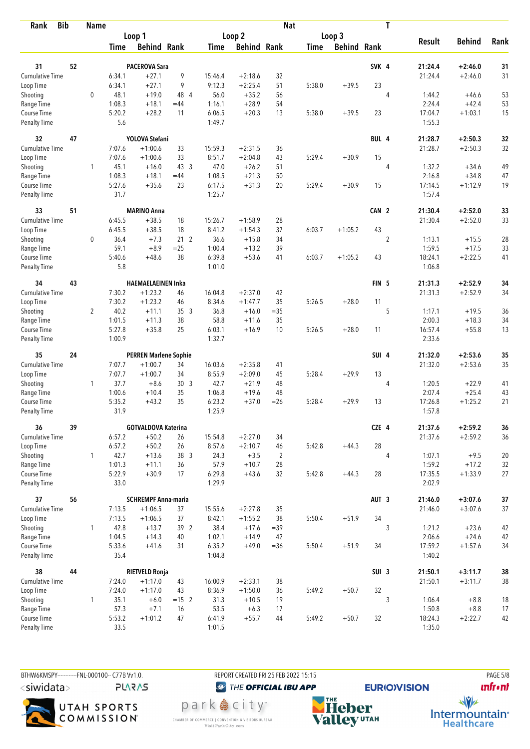| <b>Bib</b><br>Rank                 |    | <b>Name</b>    |                |                              |                 |                  |                    | <b>Nat</b>     |             |                    |                  | T              |                   |               |        |
|------------------------------------|----|----------------|----------------|------------------------------|-----------------|------------------|--------------------|----------------|-------------|--------------------|------------------|----------------|-------------------|---------------|--------|
|                                    |    |                |                | Loop 1                       |                 |                  | Loop <sub>2</sub>  |                |             | Loop 3             |                  |                |                   |               |        |
|                                    |    |                | <b>Time</b>    | <b>Behind Rank</b>           |                 | Time             | <b>Behind Rank</b> |                | <b>Time</b> | <b>Behind Rank</b> |                  |                | <b>Result</b>     | <b>Behind</b> | Rank   |
|                                    |    |                |                |                              |                 |                  |                    |                |             |                    |                  |                |                   |               |        |
| 31                                 | 52 |                |                | <b>PACEROVA Sara</b>         |                 |                  |                    |                |             |                    | SVK <sub>4</sub> |                | 21:24.4           | $+2:46.0$     | 31     |
| Cumulative Time                    |    |                | 6:34.1         | $+27.1$                      | 9               | 15:46.4          | $+2:18.6$          | 32             |             |                    |                  |                | 21:24.4           | $+2:46.0$     | 31     |
| Loop Time                          |    |                | 6:34.1         | $+27.1$                      | 9               | 9:12.3           | $+2:25.4$          | 51             | 5:38.0      | $+39.5$            | 23               |                |                   |               |        |
| Shooting                           |    | $\mathbf 0$    | 48.1           | $+19.0$                      | 48 4            | 56.0             | $+35.2$            | 56             |             |                    |                  | 4              | 1:44.2            | $+46.6$       | 53     |
| Range Time                         |    |                | 1:08.3         | $+18.1$                      | $=44$           | 1:16.1           | $+28.9$            | 54             |             |                    |                  |                | 2:24.4            | $+42.4$       | 53     |
| Course Time<br>Penalty Time        |    |                | 5:20.2<br>5.6  | $+28.2$                      | 11              | 6:06.5<br>1:49.7 | $+20.3$            | 13             | 5:38.0      | $+39.5$            | 23               |                | 17:04.7<br>1:55.3 | $+1:03.1$     | 15     |
| 32                                 | 47 |                |                | <b>YOLOVA Stefani</b>        |                 |                  |                    |                |             |                    | BUL 4            |                | 21:28.7           | $+2:50.3$     | 32     |
| <b>Cumulative Time</b>             |    |                | 7:07.6         | $+1:00.6$                    | 33              | 15:59.3          | $+2:31.5$          | 36             |             |                    |                  |                | 21:28.7           | $+2:50.3$     | 32     |
| Loop Time                          |    |                | 7:07.6         | $+1:00.6$                    | 33              | 8:51.7           | $+2:04.8$          | 43             | 5:29.4      | $+30.9$            | 15               |                |                   |               |        |
| Shooting                           |    | 1              | 45.1           | $+16.0$                      | 43 3            | 47.0             | $+26.2$            | 51             |             |                    |                  | 4              | 1:32.2            | $+34.6$       | 49     |
| Range Time                         |    |                | 1:08.3         | $+18.1$                      | $=44$           | 1:08.5           | $+21.3$            | 50             |             |                    |                  |                | 2:16.8            | $+34.8$       | 47     |
| Course Time                        |    |                | 5:27.6         | $+35.6$                      | 23              | 6:17.5           | $+31.3$            | 20             | 5:29.4      | $+30.9$            | 15               |                | 17:14.5           | $+1:12.9$     | 19     |
| <b>Penalty Time</b>                |    |                | 31.7           |                              |                 | 1:25.7           |                    |                |             |                    |                  |                | 1:57.4            |               |        |
| 33                                 | 51 |                |                | <b>MARINO Anna</b>           |                 |                  |                    |                |             |                    | CAN 2            |                | 21:30.4           | $+2:52.0$     | 33     |
| <b>Cumulative Time</b>             |    |                | 6:45.5         | $+38.5$                      | 18              | 15:26.7          | $+1:58.9$          | 28             |             |                    |                  |                | 21:30.4           | $+2:52.0$     | 33     |
| Loop Time                          |    |                | 6:45.5         | $+38.5$                      | 18              | 8:41.2           | $+1:54.3$          | 37             | 6:03.7      | $+1:05.2$          | 43               |                |                   |               |        |
| Shooting                           |    | $\mathbf 0$    | 36.4           | $+7.3$                       | 21 <sub>2</sub> | 36.6             | $+15.8$            | 34             |             |                    |                  | $\overline{c}$ | 1:13.1            | $+15.5$       | 28     |
| Range Time                         |    |                | 59.1           | $+8.9$                       | $=25$           | 1:00.4           | $+13.2$            | 39             |             |                    |                  |                | 1:59.5            | $+17.5$       | 33     |
| Course Time                        |    |                | 5:40.6         | $+48.6$                      | 38              | 6:39.8           | $+53.6$            | 41             | 6:03.7      | $+1:05.2$          | 43               |                | 18:24.1           | $+2:22.5$     | 41     |
| <b>Penalty Time</b>                |    |                | 5.8            |                              |                 | 1:01.0           |                    |                |             |                    |                  |                | 1:06.8            |               |        |
| 34                                 | 43 |                |                | <b>HAEMAELAEINEN Inka</b>    |                 |                  |                    |                |             |                    | FIN <sub>5</sub> |                | 21:31.3           | $+2:52.9$     | 34     |
| Cumulative Time                    |    |                | 7:30.2         | $+1:23.2$                    | 46              | 16:04.8          | $+2:37.0$          | 42             |             |                    |                  |                | 21:31.3           | $+2:52.9$     | 34     |
| Loop Time                          |    |                | 7:30.2         | $+1:23.2$                    | 46              | 8:34.6           | $+1:47.7$          | 35             | 5:26.5      | $+28.0$            | 11               |                |                   |               |        |
| Shooting                           |    | $\overline{2}$ | 40.2           | $+11.1$                      | 35 <sub>3</sub> | 36.8             | $+16.0$            | $=35$          |             |                    |                  | 5              | 1:17.1            | $+19.5$       | 36     |
| Range Time                         |    |                | 1:01.5         | $+11.3$                      | 38              | 58.8             | $+11.6$            | 35             |             |                    |                  |                | 2:00.3            | $+18.3$       | 34     |
| Course Time                        |    |                | 5:27.8         | $+35.8$                      | 25              | 6:03.1           | $+16.9$            | 10             | 5:26.5      | $+28.0$            | 11               |                | 16:57.4           | $+55.8$       | 13     |
| <b>Penalty Time</b>                |    |                | 1:00.9         |                              |                 | 1:32.7           |                    |                |             |                    |                  |                | 2:33.6            |               |        |
| 35                                 | 24 |                |                | <b>PERREN Marlene Sophie</b> |                 |                  |                    |                |             |                    | SUI 4            |                | 21:32.0           | $+2:53.6$     | 35     |
| <b>Cumulative Time</b>             |    |                | 7:07.7         | $+1:00.7$                    | 34              | 16:03.6          | $+2:35.8$          | 41             |             |                    |                  |                | 21:32.0           | $+2:53.6$     | 35     |
| Loop Time                          |    |                | 7:07.7         | $+1:00.7$                    | 34              | 8:55.9           | $+2:09.0$          | 45             | 5:28.4      | $+29.9$            | 13               |                |                   |               |        |
| Shooting                           |    | $\mathbf{1}$   | 37.7           | $+8.6$                       | 30 <sub>3</sub> | 42.7             | $+21.9$            | 48             |             |                    |                  | 4              | 1:20.5            | $+22.9$       | 41     |
| Range Time                         |    |                | 1:00.6         | $+10.4$                      | 35              | 1:06.8           | $+19.6$            | 48             |             |                    |                  |                | 2:07.4            | $+25.4$       | 43     |
| Course Time                        |    |                | 5:35.2         | $+43.2$                      | 35              | 6:23.2           | $+37.0$            | $=26$          | 5:28.4      | $+29.9$            | 13               |                | 17:26.8           | $+1:25.2$     | 21     |
| <b>Penalty Time</b>                |    |                | 31.9           |                              |                 | 1:25.9           |                    |                |             |                    |                  |                | 1:57.8            |               |        |
| 36                                 | 39 |                |                | <b>GOTVALDOVA Katerina</b>   |                 |                  |                    |                |             |                    | CZE 4            |                | 21:37.6           | $+2:59.2$     | 36     |
| <b>Cumulative Time</b>             |    |                | 6:57.2         | $+50.2$                      | 26              | 15:54.8          | $+2:27.0$          | 34             |             |                    |                  |                | 21:37.6           | $+2:59.2$     | 36     |
| Loop Time                          |    |                | 6:57.2         | $+50.2$                      | 26              | 8:57.6           | $+2:10.7$          | 46             | 5:42.8      | $+44.3$            | 28               |                |                   |               |        |
| Shooting                           |    | $\mathbf{1}$   | 42.7           | $+13.6$                      | 38 3            | 24.3             | $+3.5$             | $\overline{2}$ |             |                    |                  | $\overline{4}$ | 1:07.1            | $+9.5$        | 20     |
| Range Time                         |    |                | 1:01.3         | $+11.1$                      | 36              | 57.9             | $+10.7$            | 28             |             |                    |                  |                | 1:59.2            | $+17.2$       | 32     |
| Course Time<br><b>Penalty Time</b> |    |                | 5:22.9<br>33.0 | $+30.9$                      | 17              | 6:29.8<br>1:29.9 | $+43.6$            | 32             | 5:42.8      | $+44.3$            | 28               |                | 17:35.5<br>2:02.9 | $+1:33.9$     | 27     |
|                                    |    |                |                |                              |                 |                  |                    |                |             |                    |                  |                |                   |               |        |
| 37                                 | 56 |                |                | <b>SCHREMPF Anna-maria</b>   |                 |                  |                    |                |             |                    | AUT <sub>3</sub> |                | 21:46.0           | $+3:07.6$     | $37\,$ |
| <b>Cumulative Time</b>             |    |                | 7:13.5         | $+1:06.5$                    | 37              | 15:55.6          | $+2:27.8$          | 35             |             |                    |                  |                | 21:46.0           | $+3:07.6$     | 37     |
| Loop Time                          |    |                | 7:13.5         | $+1:06.5$                    | 37              | 8:42.1           | $+1:55.2$          | 38             | 5:50.4      | $+51.9$            | 34               |                |                   |               |        |
| Shooting                           |    | $\mathbf{1}$   | 42.8           | $+13.7$                      | 39 2            | 38.4             | $+17.6$            | $=39$          |             |                    |                  | 3              | 1:21.2            | $+23.6$       | 42     |
| Range Time                         |    |                | 1:04.5         | $+14.3$                      | 40              | 1:02.1           | $+14.9$            | 42             |             |                    |                  |                | 2:06.6            | $+24.6$       | 42     |
| Course Time<br><b>Penalty Time</b> |    |                | 5:33.6<br>35.4 | $+41.6$                      | 31              | 6:35.2<br>1:04.8 | $+49.0$            | $= 36$         | 5:50.4      | $+51.9$            | 34               |                | 17:59.2<br>1:40.2 | $+1:57.6$     | 34     |
| 38                                 | 44 |                |                | <b>RIETVELD Ronja</b>        |                 |                  |                    |                |             |                    | SUI <sub>3</sub> |                | 21:50.1           | $+3:11.7$     | 38     |
| <b>Cumulative Time</b>             |    |                | 7:24.0         | $+1:17.0$                    | 43              | 16:00.9          | $+2:33.1$          | 38             |             |                    |                  |                | 21:50.1           | $+3:11.7$     | $38\,$ |
| Loop Time                          |    |                | 7:24.0         | $+1:17.0$                    | 43              | 8:36.9           | $+1:50.0$          | 36             | 5:49.2      | $+50.7$            | 32               |                |                   |               |        |
| Shooting                           |    | $\mathbf{1}$   | 35.1           | $+6.0$                       | $= 15$ 2        | 31.3             | $+10.5$            | 19             |             |                    |                  | 3              | 1:06.4            | $+8.8$        | 18     |
| Range Time                         |    |                | 57.3           | $+7.1$                       | 16              | 53.5             | $+6.3$             | 17             |             |                    |                  |                | 1:50.8            | $+8.8$        | 17     |
| Course Time                        |    |                | 5:53.2         | $+1:01.2$                    | 47              | 6:41.9           | $+55.7$            | 44             | 5:49.2      | $+50.7$            | 32               |                | 18:24.3           | $+2:22.7$     | 42     |
| Penalty Time                       |    |                | 33.5           |                              |                 | 1:01.5           |                    |                |             |                    |                  |                | 1:35.0            |               |        |

BTHW6KMSPY-----------FNL-000100-- C77B Vv1.0. REPORT CREATED FRI 25 FEB 2022 15:15 PAGE 5/8 <siwidata> **PLARAS** 

UTAH SPORTS<br>COMMISSION

<sup><sup>3</sup>THE OFFICIAL IBU APP</sup>

park e city<sup>®</sup>

CHAMBER OF COMMERCE | CONVENTION & VISITORS BUREAU<br>Visit Park City.com

**EURIO)VISION NHE**<br>Valley<sup>utAH</sup>

**unfront** 

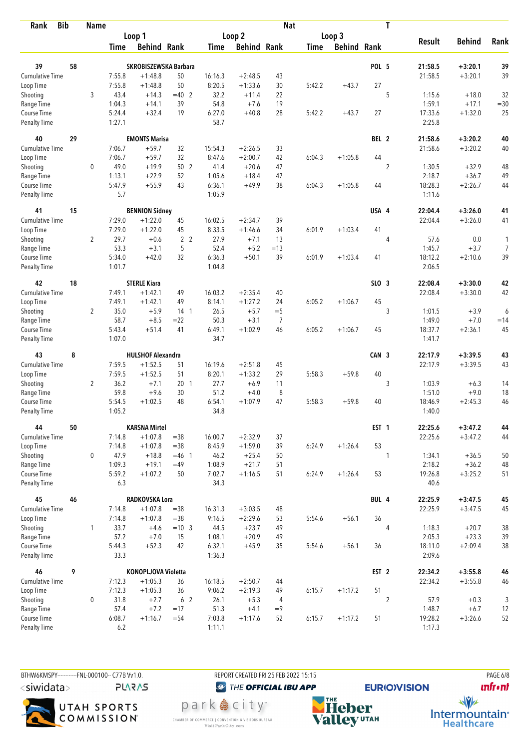| <b>Bib</b><br>Rank           |    | <b>Name</b>    |                  |                                  |                 |                  |                    | <b>Nat</b>     |             |                    |                  | T              |                    |                        |             |
|------------------------------|----|----------------|------------------|----------------------------------|-----------------|------------------|--------------------|----------------|-------------|--------------------|------------------|----------------|--------------------|------------------------|-------------|
|                              |    |                |                  | Loop 1                           |                 |                  | Loop <sub>2</sub>  |                |             | Loop 3             |                  |                |                    |                        |             |
|                              |    |                | <b>Time</b>      | <b>Behind Rank</b>               |                 | <b>Time</b>      | <b>Behind Rank</b> |                | <b>Time</b> | <b>Behind Rank</b> |                  |                | <b>Result</b>      | <b>Behind</b>          | Rank        |
|                              |    |                |                  |                                  |                 |                  |                    |                |             |                    |                  |                |                    |                        |             |
| 39                           | 58 |                |                  | SKROBISZEWSKA Barbara            |                 |                  |                    |                |             |                    | POL 5            |                | 21:58.5            | $+3:20.1$              | 39          |
| Cumulative Time              |    |                | 7:55.8           | $+1:48.8$                        | 50              | 16:16.3          | $+2:48.5$          | 43             |             |                    |                  |                | 21:58.5            | $+3:20.1$              | 39          |
| Loop Time                    |    |                | 7:55.8           | $+1:48.8$                        | 50              | 8:20.5           | $+1:33.6$          | 30             | 5:42.2      | $+43.7$            | 27               |                |                    |                        |             |
| Shooting                     |    | 3              | 43.4             | $+14.3$<br>$+14.1$               | $=40$ 2<br>39   | 32.2             | $+11.4$<br>$+7.6$  | 22<br>19       |             |                    |                  | 5              | 1:15.6<br>1:59.1   | $+18.0$                | 32          |
| Range Time<br>Course Time    |    |                | 1:04.3<br>5:24.4 | $+32.4$                          | 19              | 54.8<br>6:27.0   | $+40.8$            | 28             | 5:42.2      | $+43.7$            | 27               |                | 17:33.6            | $+17.1$<br>$+1:32.0$   | $=30$<br>25 |
| <b>Penalty Time</b>          |    |                | 1:27.1           |                                  |                 | 58.7             |                    |                |             |                    |                  |                | 2:25.8             |                        |             |
| 40                           | 29 |                |                  | <b>EMONTS Marisa</b>             |                 |                  |                    |                |             |                    | BEL 2            |                | 21:58.6            | $+3:20.2$              | 40          |
| Cumulative Time              |    |                | 7:06.7           | $+59.7$                          | 32              | 15:54.3          | $+2:26.5$          | 33             |             |                    |                  |                | 21:58.6            | $+3:20.2$              | 40          |
| Loop Time                    |    |                | 7:06.7           | $+59.7$                          | 32              | 8:47.6           | $+2:00.7$          | 42             | 6:04.3      | $+1:05.8$          | 44               |                |                    |                        |             |
| Shooting                     |    | $\mathbf 0$    | 49.0             | $+19.9$                          | 50 2            | 41.4             | $+20.6$            | 47             |             |                    |                  | $\overline{2}$ | 1:30.5             | $+32.9$                | 48          |
| Range Time                   |    |                | 1:13.1           | $+22.9$                          | 52              | 1:05.6           | $+18.4$            | 47             |             |                    |                  |                | 2:18.7             | $+36.7$                | 49          |
| Course Time                  |    |                | 5:47.9           | $+55.9$                          | 43              | 6:36.1           | $+49.9$            | 38             | 6:04.3      | $+1:05.8$          | 44               |                | 18:28.3            | $+2:26.7$              | 44          |
| <b>Penalty Time</b>          |    |                | 5.7              |                                  |                 | 1:05.9           |                    |                |             |                    |                  |                | 1:11.6             |                        |             |
| 41                           | 15 |                |                  | <b>BENNION Sidney</b>            |                 |                  |                    |                |             |                    | USA 4            |                | 22:04.4            | $+3:26.0$              | 41          |
| <b>Cumulative Time</b>       |    |                | 7:29.0           | $+1:22.0$                        | 45              | 16:02.5          | $+2:34.7$          | 39             |             |                    |                  |                | 22:04.4            | $+3:26.0$              | 41          |
| Loop Time                    |    |                | 7:29.0           | $+1:22.0$                        | 45              | 8:33.5           | $+1:46.6$          | 34             | 6:01.9      | $+1:03.4$          | 41               |                |                    |                        |             |
| Shooting                     |    | $\overline{2}$ | 29.7             | $+0.6$                           | 2 <sub>2</sub>  | 27.9             | $+7.1$             | 13             |             |                    |                  | 4              | 57.6               | 0.0                    | 1           |
| Range Time                   |    |                | 53.3             | $+3.1$                           | 5               | 52.4             | $+5.2$             | $=13$          |             |                    |                  |                | 1:45.7             | $+3.7$                 | 7           |
| Course Time                  |    |                | 5:34.0           | $+42.0$                          | 32              | 6:36.3           | $+50.1$            | 39             | 6:01.9      | $+1:03.4$          | 41               |                | 18:12.2            | $+2:10.6$              | 39          |
| <b>Penalty Time</b>          |    |                | 1:01.7           |                                  |                 | 1:04.8           |                    |                |             |                    |                  |                | 2:06.5             |                        |             |
| 42                           | 18 |                |                  | <b>STERLE Kiara</b>              |                 |                  |                    |                |             |                    | SLO <sub>3</sub> |                | 22:08.4            | $+3:30.0$              | 42          |
| Cumulative Time              |    |                | 7:49.1           | $+1:42.1$                        | 49              | 16:03.2          | $+2:35.4$          | 40             |             |                    |                  |                | 22:08.4            | $+3:30.0$              | 42          |
| Loop Time                    |    |                | 7:49.1           | $+1:42.1$                        | 49              | 8:14.1           | $+1:27.2$          | 24             | 6:05.2      | $+1:06.7$          | 45               |                |                    |                        |             |
| Shooting                     |    | $\overline{2}$ | 35.0             | $+5.9$                           | 14 <sub>1</sub> | 26.5             | $+5.7$             | $=$ 5          |             |                    |                  | 3              | 1:01.5             | $+3.9$                 | 6           |
| Range Time                   |    |                | 58.7             | $+8.5$                           | $=22$           | 50.3             | $+3.1$             | $\overline{7}$ |             |                    |                  |                | 1:49.0             | $+7.0$                 | $=14$       |
| Course Time                  |    |                | 5:43.4           | $+51.4$                          | 41              | 6:49.1           | $+1:02.9$          | 46             | 6:05.2      | $+1:06.7$          | 45               |                | 18:37.7            | $+2:36.1$              | 45          |
| <b>Penalty Time</b>          |    |                | 1:07.0           |                                  |                 | 34.7             |                    |                |             |                    |                  |                | 1:41.7             |                        |             |
| 43                           | 8  |                |                  | <b>HULSHOF Alexandra</b>         |                 |                  |                    |                |             |                    | CAN 3            |                | 22:17.9            | $+3:39.5$              | 43          |
| <b>Cumulative Time</b>       |    |                | 7:59.5           | $+1:52.5$                        | 51              | 16:19.6          | $+2:51.8$          | 45             |             |                    |                  |                | 22:17.9            | $+3:39.5$              | 43          |
| Loop Time                    |    |                | 7:59.5           | $+1:52.5$                        | 51              | 8:20.1           | $+1:33.2$          | 29             | 5:58.3      | $+59.8$            | 40               |                |                    |                        |             |
| Shooting                     |    | $\overline{2}$ | 36.2             | $+7.1$                           | 20 <sub>1</sub> | 27.7             | $+6.9$             | 11             |             |                    |                  | 3              | 1:03.9             | $+6.3$                 | 14          |
| Range Time                   |    |                | 59.8             | $+9.6$                           | 30              | 51.2             | $+4.0$             | 8              |             |                    |                  |                | 1:51.0             | $+9.0$                 | 18          |
| Course Time                  |    |                | 5:54.5           | $+1:02.5$                        | 48              | 6:54.1           | $+1:07.9$          | 47             | 5:58.3      | $+59.8$            | 40               |                | 18:46.9            | $+2:45.3$              | 46          |
| <b>Penalty Time</b>          |    |                | 1:05.2           |                                  |                 | 34.8             |                    |                |             |                    |                  |                | 1:40.0             |                        |             |
| 44                           | 50 |                |                  | <b>KARSNA Mirtel</b>             |                 |                  |                    |                |             |                    | EST <sub>1</sub> |                | 22:25.6            | $+3:47.2$              | 44          |
| <b>Cumulative Time</b>       |    |                | 7:14.8           | $+1:07.8$                        | $=38$           | 16:00.7          | $+2:32.9$          | 37             |             |                    |                  |                | 22:25.6            | $+3:47.2$              | 44          |
| Loop Time                    |    |                | 7:14.8           | $+1:07.8$                        | $= 38$          | 8:45.9           | $+1:59.0$          | 39             | 6:24.9      | $+1:26.4$          | 53               |                |                    |                        |             |
| Shooting                     |    | 0              | 47.9             | $+18.8$                          | $= 46$ 1        | 46.2             | $+25.4$            | 50             |             |                    |                  | 1              | 1:34.1             | $+36.5$                | 50          |
| Range Time                   |    |                | 1:09.3           | $+19.1$                          | $=49$           | 1:08.9           | $+21.7$            | 51             |             |                    |                  |                | 2:18.2             | $+36.2$                | 48          |
| Course Time                  |    |                | 5:59.2           | $+1:07.2$                        | 50              | 7:02.7           | $+1:16.5$          | 51             | 6:24.9      | $+1:26.4$          | 53               |                | 19:26.8            | $+3:25.2$              | 51          |
| Penalty Time                 |    |                | 6.3              |                                  |                 | 34.3             |                    |                |             |                    |                  |                | 40.6               |                        |             |
| 45                           | 46 |                |                  | RADKOVSKA Lora                   |                 |                  |                    |                |             |                    | BUL 4            |                | 22:25.9            | $+3:47.5$              | 45          |
| <b>Cumulative Time</b>       |    |                | 7:14.8           | $+1:07.8$                        | $= 38$          | 16:31.3          | $+3:03.5$          | 48             |             |                    |                  |                | 22:25.9            | $+3:47.5$              | 45          |
| Loop Time                    |    |                | 7:14.8           | $+1:07.8$                        | $= 38$          | 9:16.5           | $+2:29.6$          | 53             | 5:54.6      | $+56.1$            | 36               |                |                    |                        |             |
| Shooting                     |    | $\mathbf{1}$   | 33.7             | $+4.6$                           | $=10$ 3         | 44.5             | $+23.7$            | 49             |             |                    |                  | $\overline{4}$ | 1:18.3             | $+20.7$                | 38          |
| Range Time                   |    |                | 57.2             | $+7.0$                           | 15              | 1:08.1           | $+20.9$            | 49             |             |                    |                  |                | 2:05.3             | $+23.3$                | 39          |
| Course Time<br>Penalty Time  |    |                | 5:44.3<br>33.3   | $+52.3$                          | 42              | 6:32.1<br>1:36.3 | $+45.9$            | 35             | 5:54.6      | $+56.1$            | 36               |                | 18:11.0<br>2:09.6  | $+2:09.4$              | $38\,$      |
|                              |    |                |                  |                                  |                 |                  |                    |                |             |                    |                  |                |                    |                        |             |
| 46<br><b>Cumulative Time</b> | 9  |                | 7:12.3           | KONOPLJOVA Violetta<br>$+1:05.3$ | 36              | 16:18.5          | $+2:50.7$          | 44             |             |                    | EST <sub>2</sub> |                | 22:34.2<br>22:34.2 | $+3:55.8$<br>$+3:55.8$ | 46<br>46    |
| Loop Time                    |    |                | 7:12.3           | $+1:05.3$                        | 36              | 9:06.2           | $+2:19.3$          | 49             | 6:15.7      | $+1:17.2$          | 51               |                |                    |                        |             |
| Shooting                     |    | $\mathbf 0$    | 31.8             | $+2.7$                           | 6 <sub>2</sub>  | 26.1             | $+5.3$             | $\overline{4}$ |             |                    |                  | $\overline{2}$ | 57.9               | $+0.3$                 | 3           |
| Range Time                   |    |                | 57.4             | $+7.2$                           | $=17$           | 51.3             | $+4.1$             | $=9$           |             |                    |                  |                | 1:48.7             | $+6.7$                 | 12          |
| Course Time                  |    |                | 6:08.7           | $+1:16.7$                        | $= 54$          | 7:03.8           | $+1:17.6$          | 52             | 6:15.7      | $+1:17.2$          | 51               |                | 19:28.2            | $+3:26.6$              | 52          |
| Penalty Time                 |    |                | $6.2\,$          |                                  |                 | 1:11.1           |                    |                |             |                    |                  |                | 1:17.3             |                        |             |

BTHW6KMSPY-----------FNL-000100-- C77B Vv1.0. REPORT CREATED FRI 25 FEB 2022 15:15 PAGE 6/8 <siwidata> **PLARAS** 

UTAH SPORTS<br>COMMISSION

<sup><sup>3</sup>THE OFFICIAL IBU APP</sup>

park e city<sup>®</sup>

CHAMBER OF COMMERCE | CONVENTION & VISITORS BUREAU<br>Visit Park City.com

**NHE**<br>Valley<sup>utAH</sup>

**unfront** 

**EURIO)VISION** 

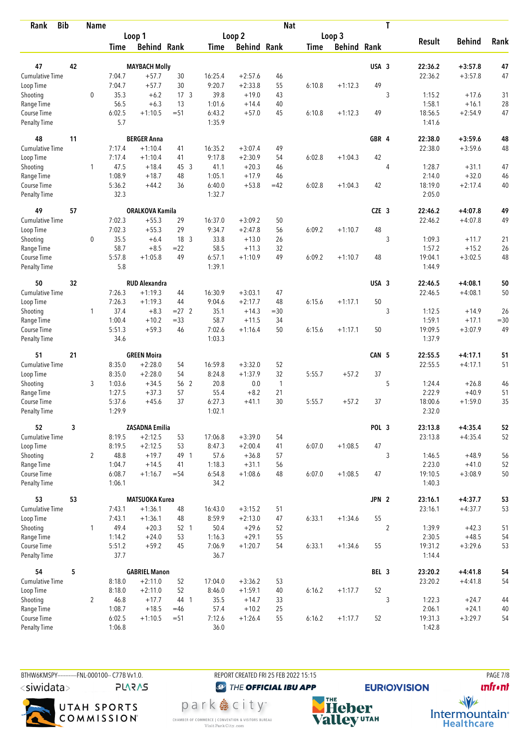| <b>Bib</b><br>Rank                 |    | <b>Name</b>    |                  |                        |                 |                   |                        | <b>Nat</b>   |             |                    |                  | T              |                   |               |          |
|------------------------------------|----|----------------|------------------|------------------------|-----------------|-------------------|------------------------|--------------|-------------|--------------------|------------------|----------------|-------------------|---------------|----------|
|                                    |    |                |                  | Loop 1                 |                 |                   | Loop <sub>2</sub>      |              |             | Loop 3             |                  |                |                   |               |          |
|                                    |    |                | <b>Time</b>      | <b>Behind Rank</b>     |                 | <b>Time</b>       | <b>Behind Rank</b>     |              | <b>Time</b> | <b>Behind Rank</b> |                  |                | <b>Result</b>     | <b>Behind</b> | Rank     |
| 47                                 | 42 |                |                  |                        |                 |                   |                        |              |             |                    | USA 3            |                | 22:36.2           | $+3:57.8$     |          |
| <b>Cumulative Time</b>             |    |                | 7:04.7           | <b>MAYBACH Molly</b>   |                 |                   |                        |              |             |                    |                  |                |                   |               | 47<br>47 |
|                                    |    |                | 7:04.7           | $+57.7$<br>$+57.7$     | 30<br>30        | 16:25.4<br>9:20.7 | $+2:57.6$<br>$+2:33.8$ | 46<br>55     | 6:10.8      | $+1:12.3$          | 49               |                | 22:36.2           | $+3:57.8$     |          |
| Loop Time<br>Shooting              |    | $\mathbf 0$    | 35.3             | $+6.2$                 | 17 <sub>3</sub> | 39.8              | $+19.0$                | 43           |             |                    |                  | 3              | 1:15.2            | $+17.6$       | 31       |
| Range Time                         |    |                | 56.5             | $+6.3$                 | 13              | 1:01.6            | $+14.4$                | 40           |             |                    |                  |                | 1:58.1            | $+16.1$       | 28       |
| Course Time                        |    |                | 6:02.5           | $+1:10.5$              | $= 51$          | 6:43.2            | $+57.0$                | 45           | 6:10.8      | $+1:12.3$          | 49               |                | 18:56.5           | $+2:54.9$     | 47       |
| <b>Penalty Time</b>                |    |                | 5.7              |                        |                 | 1:35.9            |                        |              |             |                    |                  |                | 1:41.6            |               |          |
| 48                                 | 11 |                |                  | <b>BERGER Anna</b>     |                 |                   |                        |              |             |                    | GBR 4            |                | 22:38.0           | $+3:59.6$     | 48       |
| Cumulative Time                    |    |                | 7:17.4           | $+1:10.4$              | 41              | 16:35.2           | $+3:07.4$              | 49           |             |                    |                  |                | 22:38.0           | $+3:59.6$     | 48       |
| Loop Time                          |    |                | 7:17.4           | $+1:10.4$              | 41              | 9:17.8            | $+2:30.9$              | 54           | 6:02.8      | $+1:04.3$          | 42               |                |                   |               |          |
| Shooting                           |    | 1              | 47.5             | $+18.4$                | 45 3            | 41.1              | $+20.3$                | 46           |             |                    |                  | 4              | 1:28.7            | $+31.1$       | 47       |
| Range Time                         |    |                | 1:08.9           | $+18.7$                | 48              | 1:05.1            | $+17.9$                | 46           |             |                    |                  |                | 2:14.0            | $+32.0$       | 46       |
| Course Time                        |    |                | 5:36.2           | $+44.2$                | 36              | 6:40.0            | $+53.8$                | $=42$        | 6:02.8      | $+1:04.3$          | 42               |                | 18:19.0           | $+2:17.4$     | 40       |
| <b>Penalty Time</b>                |    |                | 32.3             |                        |                 | 1:32.7            |                        |              |             |                    |                  |                | 2:05.0            |               |          |
| 49                                 | 57 |                |                  | <b>ORALKOVA Kamila</b> |                 |                   |                        |              |             |                    | CZE <sub>3</sub> |                | 22:46.2           | $+4:07.8$     | 49       |
| <b>Cumulative Time</b>             |    |                | 7:02.3           | $+55.3$                | 29              | 16:37.0           | $+3:09.2$              | 50           |             |                    |                  |                | 22:46.2           | $+4:07.8$     | 49       |
| Loop Time                          |    |                | 7:02.3           | $+55.3$                | 29              | 9:34.7            | $+2:47.8$              | 56           | 6:09.2      | $+1:10.7$          | 48               |                |                   |               |          |
| Shooting                           |    | $\mathbf 0$    | 35.5             | $+6.4$                 | 18 3            | 33.8              | $+13.0$                | 26           |             |                    |                  | 3              | 1:09.3            | $+11.7$       | 21       |
| Range Time                         |    |                | 58.7             | $+8.5$                 | $=22$           | 58.5              | $+11.3$                | 32           |             |                    |                  |                | 1:57.2            | $+15.2$       | 26       |
| Course Time<br><b>Penalty Time</b> |    |                | 5:57.8<br>5.8    | $+1:05.8$              | 49              | 6:57.1<br>1:39.1  | $+1:10.9$              | 49           | 6:09.2      | $+1:10.7$          | 48               |                | 19:04.1<br>1:44.9 | $+3:02.5$     | 48       |
|                                    |    |                |                  |                        |                 |                   |                        |              |             |                    |                  |                |                   |               |          |
| 50                                 | 32 |                |                  | <b>RUD Alexandra</b>   |                 |                   |                        |              |             |                    | USA 3            |                | 22:46.5           | $+4:08.1$     | 50       |
| Cumulative Time<br>Loop Time       |    |                | 7:26.3<br>7:26.3 | $+1:19.3$<br>$+1:19.3$ | 44<br>44        | 16:30.9<br>9:04.6 | $+3:03.1$<br>$+2:17.7$ | 47<br>48     | 6:15.6      | $+1:17.1$          | 50               |                | 22:46.5           | $+4:08.1$     | 50       |
| Shooting                           |    | $\mathbf{1}$   | 37.4             | $+8.3$                 | $= 27$ 2        | 35.1              | $+14.3$                | $= 30$       |             |                    |                  | 3              | 1:12.5            | $+14.9$       | 26       |
| Range Time                         |    |                | 1:00.4           | $+10.2$                | $= 33$          | 58.7              | $+11.5$                | 34           |             |                    |                  |                | 1:59.1            | $+17.1$       | $=30$    |
| Course Time                        |    |                | 5:51.3           | $+59.3$                | 46              | 7:02.6            | $+1:16.4$              | 50           | 6:15.6      | $+1:17.1$          | 50               |                | 19:09.5           | $+3:07.9$     | 49       |
| <b>Penalty Time</b>                |    |                | 34.6             |                        |                 | 1:03.3            |                        |              |             |                    |                  |                | 1:37.9            |               |          |
| 51                                 | 21 |                |                  | <b>GREEN Moira</b>     |                 |                   |                        |              |             |                    | CAN 5            |                | 22:55.5           | $+4:17.1$     | 51       |
| Cumulative Time                    |    |                | 8:35.0           | $+2:28.0$              | 54              | 16:59.8           | $+3:32.0$              | 52           |             |                    |                  |                | 22:55.5           | $+4:17.1$     | 51       |
| Loop Time                          |    |                | 8:35.0           | $+2:28.0$              | 54              | 8:24.8            | $+1:37.9$              | 32           | 5:55.7      | $+57.2$            | 37               |                |                   |               |          |
| Shooting                           |    | 3              | 1:03.6           | $+34.5$                | 56 2            | 20.8              | 0.0                    | $\mathbf{1}$ |             |                    |                  | 5              | 1:24.4            | $+26.8$       | 46       |
| Range Time                         |    |                | 1:27.5           | $+37.3$                | 57              | 55.4              | $+8.2$                 | 21           |             |                    |                  |                | 2:22.9            | $+40.9$       | 51       |
| Course Time                        |    |                | 5:37.6           | $+45.6$                | 37              | 6:27.3            | $+41.1$                | 30           | 5:55.7      | $+57.2$            | 37               |                | 18:00.6           | $+1:59.0$     | 35       |
| <b>Penalty Time</b>                |    |                | 1:29.9           |                        |                 | 1:02.1            |                        |              |             |                    |                  |                | 2:32.0            |               |          |
| 52                                 | 3  |                |                  | <b>ZASADNA Emilia</b>  |                 |                   |                        |              |             |                    | POL 3            |                | 23:13.8           | $+4:35.4$     | 52       |
| <b>Cumulative Time</b>             |    |                | 8:19.5           | $+2:12.5$              | 53              | 17:06.8           | $+3:39.0$              | 54           |             |                    |                  |                | 23:13.8           | $+4:35.4$     | 52       |
| Loop Time                          |    |                | 8:19.5           | $+2:12.5$              | 53              | 8:47.3            | $+2:00.4$              | 41           | 6:07.0      | $+1:08.5$          | 47               |                |                   |               |          |
| Shooting                           |    | $\overline{2}$ | 48.8             | $+19.7$                | 49 1            | 57.6              | $+36.8$                | 57           |             |                    |                  | 3              | 1:46.5            | $+48.9$       | 56       |
| Range Time                         |    |                | 1:04.7           | $+14.5$                | 41              | 1:18.3            | $+31.1$                | 56           |             |                    |                  |                | 2:23.0            | $+41.0$       | 52       |
| Course Time<br>Penalty Time        |    |                | 6:08.7<br>1:06.1 | $+1:16.7$              | $= 54$          | 6:54.8<br>34.2    | $+1:08.6$              | 48           | 6:07.0      | $+1:08.5$          | 47               |                | 19:10.5<br>1:40.3 | $+3:08.9$     | 50       |
| 53                                 | 53 |                |                  | <b>MATSUOKA Kurea</b>  |                 |                   |                        |              |             |                    | JPN 2            |                | 23:16.1           | $+4:37.7$     | 53       |
| <b>Cumulative Time</b>             |    |                | 7:43.1           | $+1:36.1$              | 48              | 16:43.0           | $+3:15.2$              | 51           |             |                    |                  |                | 23:16.1           | $+4:37.7$     | 53       |
| Loop Time                          |    |                | 7:43.1           | $+1:36.1$              | 48              | 8:59.9            | $+2:13.0$              | 47           | 6:33.1      | $+1:34.6$          | 55               |                |                   |               |          |
| Shooting                           |    | $\mathbf{1}$   | 49.4             | $+20.3$                | 52 1            | 50.4              | $+29.6$                | 52           |             |                    |                  | $\overline{c}$ | 1:39.9            | $+42.3$       | 51       |
| Range Time                         |    |                | 1:14.2           | $+24.0$                | 53              | 1:16.3            | $+29.1$                | 55           |             |                    |                  |                | 2:30.5            | $+48.5$       | 54       |
| Course Time                        |    |                | 5:51.2           | $+59.2$                | 45              | 7:06.9            | $+1:20.7$              | 54           | 6:33.1      | $+1:34.6$          | 55               |                | 19:31.2           | $+3:29.6$     | 53       |
| Penalty Time                       |    |                | 37.7             |                        |                 | 36.7              |                        |              |             |                    |                  |                | 1:14.4            |               |          |
| 54                                 | 5  |                |                  | <b>GABRIEL Manon</b>   |                 |                   |                        |              |             |                    | BEL 3            |                | 23:20.2           | $+4:41.8$     | 54       |
| Cumulative Time                    |    |                | 8:18.0           | $+2:11.0$              | 52              | 17:04.0           | $+3:36.2$              | 53           |             |                    |                  |                | 23:20.2           | $+4:41.8$     | 54       |
| Loop Time                          |    |                | 8:18.0           | $+2:11.0$              | 52              | 8:46.0            | $+1:59.1$              | 40           | 6:16.2      | $+1:17.7$          | 52               |                |                   |               |          |
| Shooting                           |    | $\overline{2}$ | 46.8             | $+17.7$                | 44 1            | 35.5              | $+14.7$                | 33           |             |                    |                  | 3              | 1:22.3            | $+24.7$       | 44       |
| Range Time                         |    |                | 1:08.7           | $+18.5$                | $=46$           | 57.4              | $+10.2$                | 25           |             |                    |                  |                | 2:06.1            | $+24.1$       | 40       |
| Course Time                        |    |                | 6:02.5           | $+1:10.5$              | $= 51$          | 7:12.6            | $+1:26.4$              | 55           | 6:16.2      | $+1:17.7$          | 52               |                | 19:31.3           | $+3:29.7$     | 54       |
| Penalty Time                       |    |                | 1:06.8           |                        |                 | 36.0              |                        |              |             |                    |                  |                | 1:42.8            |               |          |

BTHW6KMSPY-----------FNL-000100-- C77B Vv1.0. REPORT CREATED FRI 25 FEB 2022 15:15 PAGE 7/8 <siwidata> **PLARAS** 

UTAH SPORTS<br>COMMISSION

<sup><sup>3</sup>THE OFFICIAL IBU APP</sup>

park e city<sup>®</sup>

CHAMBER OF COMMERCE | CONVENTION & VISITORS BUREAU<br>Visit Park City.com

**unfront** 



**EURIO)VISION** 

 $\frac{1}{\sqrt{2}}$ Intermountain<sup>®</sup><br>Healthcare